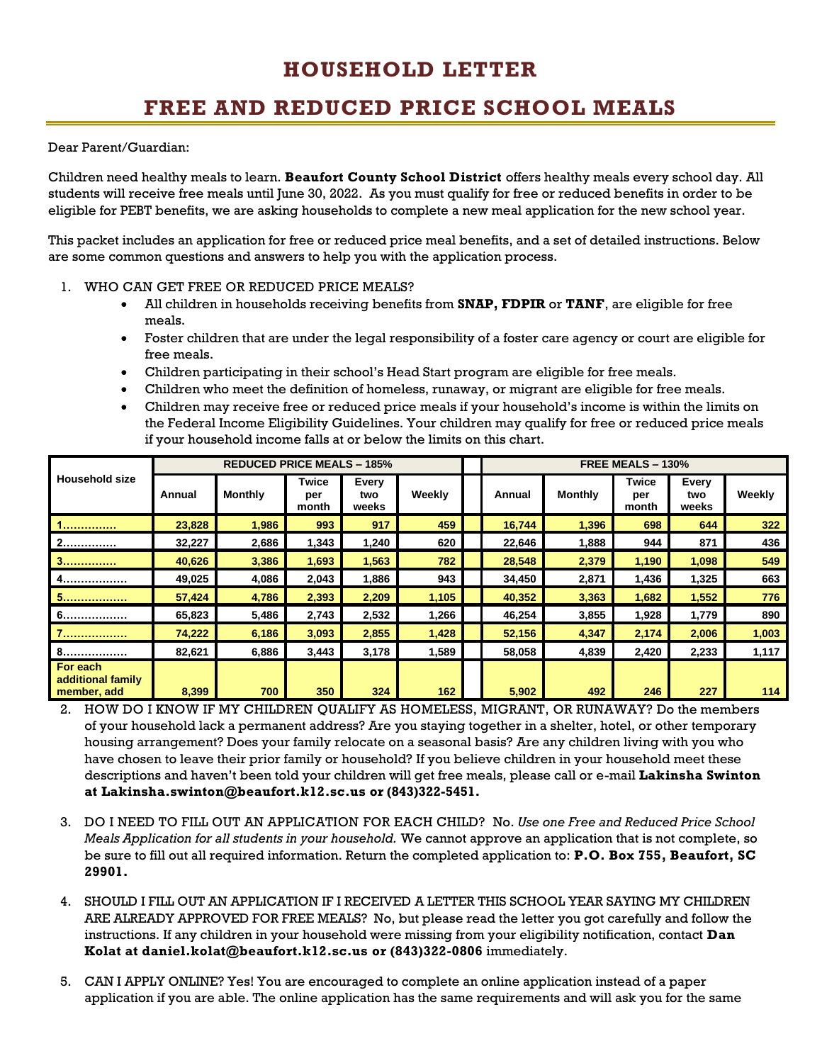## **HOUSEHOLD LETTER**

## **FREE AND REDUCED PRICE SCHOOL MEALS**

Dear Parent/Guardian:

Children need healthy meals to learn. **Beaufort County School District** offers healthy meals every school day. All students will receive free meals until June 30, 2022. As you must qualify for free or reduced benefits in order to be eligible for PEBT benefits, we are asking households to complete a new meal application for the new school year.

This packet includes an application for free or reduced price meal benefits, and a set of detailed instructions. Below are some common questions and answers to help you with the application process.

- 1. WHO CAN GET FREE OR REDUCED PRICE MEALS?
	- All children in households receiving benefits from **SNAP, FDPIR** or **TANF**, are eligible for free meals.
	- Foster children that are under the legal responsibility of a foster care agency or court are eligible for free meals.
	- Children participating in their school's Head Start program are eligible for free meals.
	- Children who meet the definition of homeless, runaway, or migrant are eligible for free meals.
	- Children may receive free or reduced price meals if your household's income is within the limits on the Federal Income Eligibility Guidelines. Your children may qualify for free or reduced price meals if your household income falls at or below the limits on this chart.

| <b>Household size</b>                        | <b>REDUCED PRICE MEALS - 185%</b> |                |                       |                       |        | FREE MEALS - 130% |                |                       |                       |        |  |
|----------------------------------------------|-----------------------------------|----------------|-----------------------|-----------------------|--------|-------------------|----------------|-----------------------|-----------------------|--------|--|
|                                              | Annual                            | <b>Monthly</b> | Twice<br>per<br>month | Every<br>two<br>weeks | Weekly | Annual            | <b>Monthly</b> | Twice<br>per<br>month | Every<br>two<br>weeks | Weekly |  |
|                                              | 23,828                            | 1,986          | 993                   | 917                   | 459    | 16,744            | 1,396          | 698                   | 644                   | 322    |  |
| 2.                                           | 32,227                            | 2,686          | 1,343                 | 1,240                 | 620    | 22,646            | 1,888          | 944                   | 871                   | 436    |  |
| 3.                                           | 40,626                            | 3,386          | 1,693                 | 1,563                 | 782    | 28,548            | 2,379          | 1,190                 | 1,098                 | 549    |  |
| 4.                                           | 49,025                            | 4,086          | 2,043                 | 1,886                 | 943    | 34,450            | 2,871          | 1,436                 | 1,325                 | 663    |  |
| 5.                                           | 57,424                            | 4,786          | 2,393                 | 2,209                 | 1,105  | 40,352            | 3,363          | 1,682                 | 1,552                 | 776    |  |
| 6.                                           | 65,823                            | 5,486          | 2,743                 | 2,532                 | 1,266  | 46,254            | 3,855          | 1,928                 | 1,779                 | 890    |  |
| 1.                                           | 74,222                            | 6,186          | 3,093                 | 2,855                 | 1,428  | 52,156            | 4,347          | 2,174                 | 2,006                 | 1,003  |  |
| 8.                                           | 82,621                            | 6,886          | 3,443                 | 3,178                 | 1,589  | 58,058            | 4,839          | 2,420                 | 2,233                 | 1,117  |  |
| For each<br>additional family<br>member, add | 8,399                             | 700            | 350                   | 324                   | 162    | 5,902             | 492            | 246                   | 227                   | 114    |  |

- 2. HOW DO I KNOW IF MY CHILDREN QUALIFY AS HOMELESS, MIGRANT, OR RUNAWAY? Do the members of your household lack a permanent address? Are you staying together in a shelter, hotel, or other temporary housing arrangement? Does your family relocate on a seasonal basis? Are any children living with you who have chosen to leave their prior family or household? If you believe children in your household meet these descriptions and haven't been told your children will get free meals, please call or e-mail **Lakinsha Swinton at Lakinsha.swinton@beaufort.k12.sc.us or (843)322-5451.**
- 3. DO I NEED TO FILL OUT AN APPLICATION FOR EACH CHILD? No. *Use one Free and Reduced Price School Meals Application for all students in your household.* We cannot approve an application that is not complete, so be sure to fill out all required information. Return the completed application to: **P.O. Box 755, Beaufort, SC 29901.**
- 4. SHOULD I FILL OUT AN APPLICATION IF I RECEIVED A LETTER THIS SCHOOL YEAR SAYING MY CHILDREN ARE ALREADY APPROVED FOR FREE MEALS? No, but please read the letter you got carefully and follow the instructions. If any children in your household were missing from your eligibility notification, contact **Dan Kolat at daniel.kolat@beaufort.k12.sc.us or (843)322-0806** immediately.
- 5. CAN I APPLY ONLINE? Yes! You are encouraged to complete an online application instead of a paper application if you are able. The online application has the same requirements and will ask you for the same